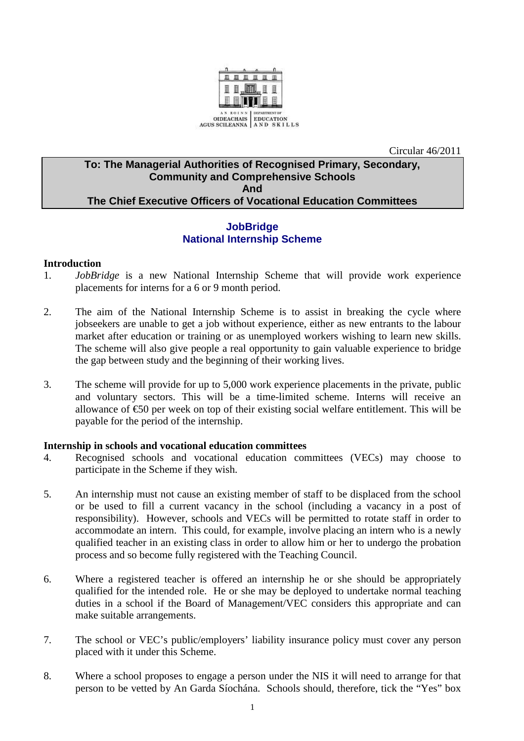

Circular 46/2011

# **To: The Managerial Authorities of Recognised Primary, Secondary, Community and Comprehensive Schools And The Chief Executive Officers of Vocational Education Committees**

## **JobBridge National Internship Scheme**

### **Introduction**

- 1. *JobBridge* is a new National Internship Scheme that will provide work experience placements for interns for a 6 or 9 month period.
- 2. The aim of the National Internship Scheme is to assist in breaking the cycle where jobseekers are unable to get a job without experience, either as new entrants to the labour market after education or training or as unemployed workers wishing to learn new skills. The scheme will also give people a real opportunity to gain valuable experience to bridge the gap between study and the beginning of their working lives.
- 3. The scheme will provide for up to 5,000 work experience placements in the private, public and voluntary sectors. This will be a time-limited scheme. Interns will receive an allowance of €50 per week on top of their existing social welfare entitlement. This will be payable for the period of the internship.

#### **Internship in schools and vocational education committees**

- 4. Recognised schools and vocational education committees (VECs) may choose to participate in the Scheme if they wish.
- 5. An internship must not cause an existing member of staff to be displaced from the school or be used to fill a current vacancy in the school (including a vacancy in a post of responsibility). However, schools and VECs will be permitted to rotate staff in order to accommodate an intern. This could, for example, involve placing an intern who is a newly qualified teacher in an existing class in order to allow him or her to undergo the probation process and so become fully registered with the Teaching Council.
- 6. Where a registered teacher is offered an internship he or she should be appropriately qualified for the intended role. He or she may be deployed to undertake normal teaching duties in a school if the Board of Management/VEC considers this appropriate and can make suitable arrangements.
- 7. The school or VEC's public/employers' liability insurance policy must cover any person placed with it under this Scheme.
- 8. Where a school proposes to engage a person under the NIS it will need to arrange for that person to be vetted by An Garda Síochána. Schools should, therefore, tick the "Yes" box